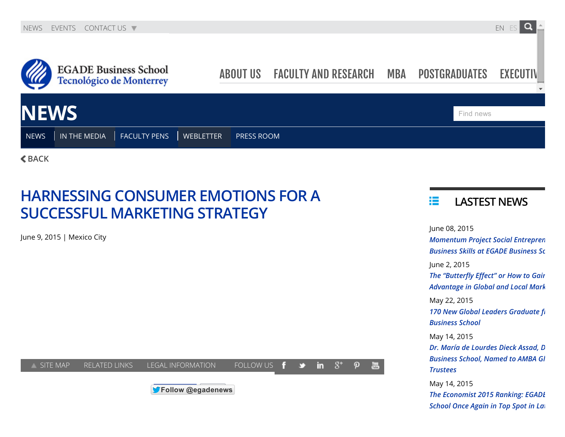

 $<sub>BACK</sub>$  $<sub>BACK</sub>$  $<sub>BACK</sub>$ </sub>

## HARNESSING CONSUMER EMOTIONS FOR A SUCCESSFUL MARKETING STRATEGY

J[une](https://maps.google.com/maps?ll=19.43,-99.139999&z=16&t=m&hl=en-US&gl=US&mapclient=apiv3) 9, 2015 | Mexico City



## 挂 LASTEST NEWS

June 08, 2015 *Momentum Project Social Entrepren Business Skills at EGADE Business School* June 2, 2015 *The* "Butterfly *Effect"* or *How* to *Gair* **Advantage in Global and Local Mark** May 22, 2015 **170 New Global Leaders [Graduate](http://egade.mx/wps/wcm/connect/ebs/egade+business+school+nd/news+home/news/news258) fi** *Business School* May 14, 2015  $Dr.$  *María de Lourdes Dieck Assad, D [Business](http://egade.mx/wps/wcm/connect/ebs/egade+business+school+nd/news+home/news/news256) School, Named to AMBA Gl Trustees* May 14, 2015

*The [Economist](http://egade.mx/wps/wcm/connect/ebs/egade+business+school+nd/news+home/news/news257) 2015 Ranking: EGADE Business School Once Again in Top Spot in Latin*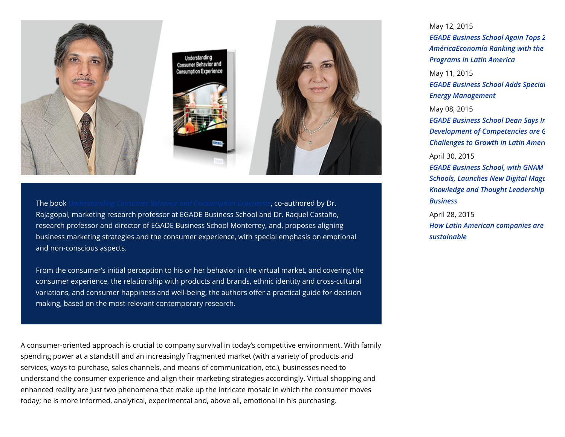

The book *[Understanding](http://www.igi-global.com/book/understanding-consumer-behavior-consumption-experience/118342) Consumer Behavior and Consumption Experience*, co-authored by Dr. Rajagopal, marketing research professor at EGADE Business School and Dr. Raquel Castaño, research professor and director of EGADE Business School Monterrey, and, proposes aligning business marketing strategies and the consumer experience, with special emphasis on emotional and non-conscious aspects.

From the consumer's initial perception to his or her behavior in the virtual market, and covering the consumer experience, the relationship with products and brands, ethnic identity and cross-cultural variations, and consumer happiness and well-being, the authors offer a practical guide for decision making, based on the most relevant contemporary research.

A consumer-oriented approach is crucial to company survival in today's competitive environment. With family spending power at a standstill and an increasingly fragmented market (with a variety of products and services, ways to purchase, sales channels, and means of communication, etc.), businesses need to understand the consumer experience and align their marketing strategies accordingly. Virtual shopping and enhanced reality are just two phenomena that make up the intricate mosaic in which the consumer moves today; he is more informed, analytical, experimental and, above all, emotional in his purchasing.

## May 12, 2015

*EGADE Business School Again Tops 2 [AméricaEconomía](http://egade.mx/wps/wcm/connect/ebs/egade+business+school+nd/news+home/news/news250) Ranking with the Programs in Latin America*

May 11, 2015

*EGADE Business School Adds Special Energy Management*

May 08, 2015

*EGADE Business School Dean Says In Development of [Competencies](http://egade.mx/wps/wcm/connect/ebs/egade+business+school+nd/news+home/news/news251) are G Challenges to Growth in Latin Ameri* 

April 30, 2015

*EGADE Business School, with GNAM Business* **Schools, Launches New Digital Maga** *Knowledge and Thought [Leadership](http://egade.mx/wps/wcm/connect/ebs/egade+business+school+nd/news+home/news/news255) in Global Business*

April 28, 2015 *How Latin American companies are [sustainable](http://egade.mx/wps/wcm/connect/ebs/egade+business+school+nd/news+home/news/news254)*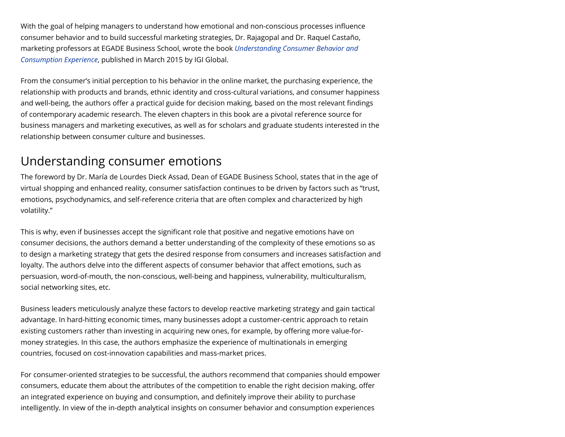With the goal of helping managers to understand how emotional and non-conscious processes influence consumer behavior and to build successful marketing strategies, Dr. Rajagopal and Dr. Raquel Castaño, marketing professors at EGADE Business School, wrote the book *[Understanding](http://www.igi-global.com/book/understanding-consumer-behavior-consumption-experience/118342) Consumer Behavior and Consumption Experience*, published in March 2015 by IGI Global.

From the consumer's initial perception to his behavior in the online market, the purchasing experience, the relationship with products and brands, ethnic identity and cross-cultural variations, and consumer happiness and well-being, the authors offer a practical guide for decision making, based on the most relevant findings of contemporary academic research. The eleven chapters in this book are a pivotal reference source for business managers and marketing executives, as well as for scholars and graduate students interested in the relationship between consumer culture and businesses.

## Understanding consumer emotions

The foreword by Dr. María de Lourdes Dieck Assad, Dean of EGADE Business School, states that in the age of virtual shopping and enhanced reality, consumer satisfaction continues to be driven by factors such as "trust, emotions, psychodynamics, and self-reference criteria that are often complex and characterized by high volatility."

This is why, even if businesses accept the significant role that positive and negative emotions have on consumer decisions, the authors demand a better understanding of the complexity of these emotions so as to design a marketing strategy that gets the desired response from consumers and increases satisfaction and loyalty. The authors delve into the different aspects of consumer behavior that affect emotions, such as persuasion, word-of-mouth, the non-conscious, well-being and happiness, vulnerability, multiculturalism, social networking sites, etc.

Business leaders meticulously analyze these factors to develop reactive marketing strategy and gain tactical advantage. In hard-hitting economic times, many businesses adopt a customer-centric approach to retain existing customers rather than investing in acquiring new ones, for example, by offering more value-formoney strategies. In this case, the authors emphasize the experience of multinationals in emerging countries, focused on cost-innovation capabilities and mass-market prices.

For consumer-oriented strategies to be successful, the authors recommend that companies should empower consumers, educate them about the attributes of the competition to enable the right decision making, offer an integrated experience on buying and consumption, and definitely improve their ability to purchase intelligently. In view of the in-depth analytical insights on consumer behavior and consumption experiences